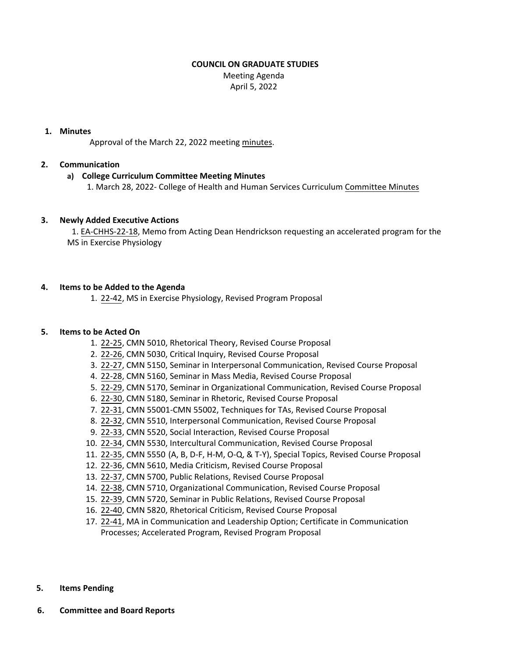### **COUNCIL ON GRADUATE STUDIES**

Meeting Agenda April 5, 2022

#### **1. Minutes**

Approval of the March 22, 2022 meeting [minutes.](https://castle.eiu.edu/eiucgs/currentminutes/Minutes3-22-22.pdf)

# **2. Communication**

# **a) College Curriculum Committee Meeting Minutes**

1. March 28, 2022‐ College of Health and Human Services Curriculum [Committee](https://pmaileiu-my.sharepoint.com/personal/jemmett_eiu_edu/_layouts/15/onedrive.aspx?ga=1&id=%2Fpersonal%2Fjemmett%5Feiu%5Fedu%2FDocuments%2FCHHS%20Curriculum%20Committee%20Folder%202019%2FCommittee%20Folders%2F2021%2D22%20Meeting%20Folder%2F03%2D28%2D22%2FMinutes%2F03%2D28%2D22%5FCHHSCC%5FMinutes%2Epdf&parent=%2Fpersonal%2Fjemmett%5Feiu%5Fedu%2FDocuments%2FCHHS%20Curriculum%20Committee%20Folder%202019%2FCommittee%20Folders%2F2021%2D22%20Meeting%20Folder%2F03%2D28%2D22%2FMinutes) Minutes

### **3. Newly Added Executive Actions**

1. EA‐[CHHS](https://castle.eiu.edu/eiucgs/exec-actions/EA-CHHS-22-18.pdf)‐22‐18, Memo from Acting Dean Hendrickson requesting an accelerated program for the MS in Exercise Physiology

### **4. Items to be Added to the Agenda**

1. 22‐[42,](https://castle.eiu.edu/eiucgs/currentagendaitems/agenda22-42.pdf) MS in Exercise Physiology, Revised Program Proposal

#### **5. Items to be Acted On**

- 1. 22‐[25,](https://castle.eiu.edu/eiucgs/currentagendaitems/agenda22-25.pdf) CMN 5010, Rhetorical Theory, Revised Course Proposal
- 2. 22‐[26,](https://castle.eiu.edu/eiucgs/currentagendaitems/agenda22-26.pdf) CMN 5030, Critical Inquiry, Revised Course Proposal
- 3. 22‐[27,](https://castle.eiu.edu/eiucgs/currentagendaitems/agenda22-27.pdf) CMN 5150, Seminar in Interpersonal Communication, Revised Course Proposal
- 4. 22‐[28,](https://castle.eiu.edu/eiucgs/currentagendaitems/agenda22-28.pdf) CMN 5160, Seminar in Mass Media, Revised Course Proposal
- 5. [22](https://castle.eiu.edu/eiucgs/currentagendaitems/agenda22-29.pdf)‐29, CMN 5170, Seminar in Organizational Communication, Revised Course Proposal
- 6. 22‐[30,](https://castle.eiu.edu/eiucgs/currentagendaitems/agenda22-30.pdf) CMN 5180, Seminar in Rhetoric, Revised Course Proposal
- 7. 22‐[31,](https://castle.eiu.edu/eiucgs/currentagendaitems/agenda22-31.pdf) CMN 55001‐CMN 55002, Techniques for TAs, Revised Course Proposal
- 8. 22‐[32,](https://castle.eiu.edu/eiucgs/currentagendaitems/agenda22-32.pdf) CMN 5510, Interpersonal Communication, Revised Course Proposal
- 9. 22‐[33,](https://castle.eiu.edu/eiucgs/currentagendaitems/agenda22-33.pdf) CMN 5520, Social Interaction, Revised Course Proposal
- 10. 22‐[34,](https://castle.eiu.edu/eiucgs/currentagendaitems/agenda22-34.pdf) CMN 5530, Intercultural Communication, Revised Course Proposal
- 11. 22‐[35,](https://castle.eiu.edu/eiucgs/currentagendaitems/agenda22-35.pdf) CMN 5550 (A, B, D‐F, H‐M, O‐Q, & T‐Y), Special Topics, Revised Course Proposal
- 12. 22‐[36,](https://castle.eiu.edu/eiucgs/currentagendaitems/agenda22-36.pdf) CMN 5610, Media Criticism, Revised Course Proposal
- 13. 22‐[37,](https://castle.eiu.edu/eiucgs/currentagendaitems/agenda22-37.pdf) CMN 5700, Public Relations, Revised Course Proposal
- 14. 22‐[38,](https://castle.eiu.edu/eiucgs/currentagendaitems/agenda22-38.pdf) CMN 5710, Organizational Communication, Revised Course Proposal
- 15. 22‐[39,](https://castle.eiu.edu/eiucgs/currentagendaitems/agenda22-39.pdf) CMN 5720, Seminar in Public Relations, Revised Course Proposal
- 16. 22‐[40,](https://castle.eiu.edu/eiucgs/currentagendaitems/agenda22-40.pdf) CMN 5820, Rhetorical Criticism, Revised Course Proposal
- 17. 22-[41,](https://castle.eiu.edu/eiucgs/currentagendaitems/agenda22-41.pdf) MA in Communication and Leadership Option; Certificate in Communication Processes; Accelerated Program, Revised Program Proposal
- **5. Items Pending**
- **6. Committee and Board Reports**